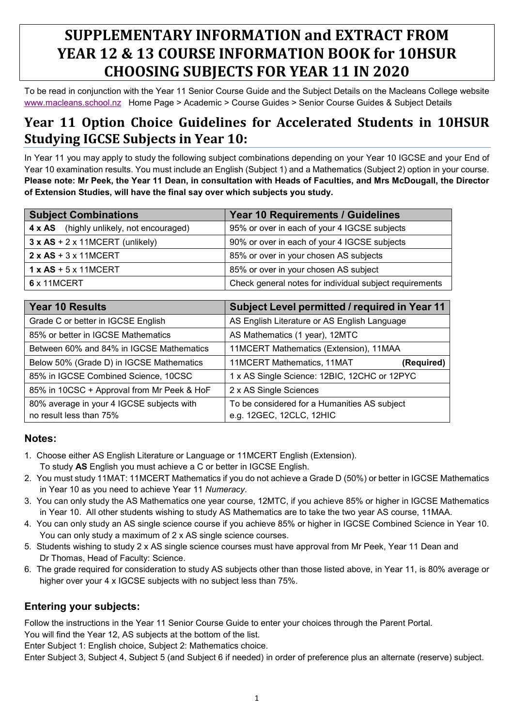# **SUPPLEMENTARY INFORMATION and EXTRACT FROM YEAR 12 & 13 COURSE INFORMATION BOOK for 10HSUR CHOOSING SUBJECTS FOR YEAR 11 IN 2020**

To be read in conjunction with the Year 11 Senior Course Guide and the Subject Details on the Macleans College website [www.macleans.school.nz](http://www.macleans.school.nz/) Home Page > Academic > Course Guides > Senior Course Guides & Subject Details

# **Year 11 Option Choice Guidelines for Accelerated Students in 10HSUR Studying IGCSE Subjects in Year 10:**

In Year 11 you may apply to study the following subject combinations depending on your Year 10 IGCSE and your End of Year 10 examination results. You must include an English (Subject 1) and a Mathematics (Subject 2) option in your course. **Please note: Mr Peek, the Year 11 Dean, in consultation with Heads of Faculties, and Mrs McDougall, the Director of Extension Studies, will have the final say over which subjects you study.**

| <b>Subject Combinations</b>                 | Year 10 Requirements / Guidelines                       |
|---------------------------------------------|---------------------------------------------------------|
| 4 x AS (highly unlikely, not encouraged)    | 95% or over in each of your 4 IGCSE subjects            |
| $3 \times AS + 2 \times 11MCEPT$ (unlikely) | 90% or over in each of your 4 IGCSE subjects            |
| $2 \times AS + 3 \times 11MCEPT$            | 85% or over in your chosen AS subjects                  |
| $1 x AS + 5 x 11 MCEPT$                     | 85% or over in your chosen AS subject                   |
| 6 x 11MCERT                                 | Check general notes for individual subject requirements |

| Year 10 Results                                                      | Subject Level permitted / required in Year 11                            |
|----------------------------------------------------------------------|--------------------------------------------------------------------------|
| Grade C or better in IGCSE English                                   | AS English Literature or AS English Language                             |
| 85% or better in IGCSE Mathematics                                   | AS Mathematics (1 year), 12MTC                                           |
| Between 60% and 84% in IGCSE Mathematics                             | 11MCERT Mathematics (Extension), 11MAA                                   |
| Below 50% (Grade D) in IGCSE Mathematics                             | 11MCERT Mathematics, 11MAT<br>(Required)                                 |
| 85% in IGCSE Combined Science, 10CSC                                 | 1 x AS Single Science: 12BIC, 12CHC or 12PYC                             |
| 85% in 10CSC + Approval from Mr Peek & HoF                           | 2 x AS Single Sciences                                                   |
| 80% average in your 4 IGCSE subjects with<br>no result less than 75% | To be considered for a Humanities AS subject<br>e.g. 12GEC, 12CLC, 12HIC |

#### **Notes:**

- 1. Choose either AS English Literature or Language or 11MCERT English (Extension). To study **AS** English you must achieve a C or better in IGCSE English.
- 2. You must study 11MAT: 11MCERT Mathematics if you do not achieve a Grade D (50%) or better in IGCSE Mathematics in Year 10 as you need to achieve Year 11 *Numeracy*.
- 3. You can only study the AS Mathematics one year course, 12MTC, if you achieve 85% or higher in IGCSE Mathematics in Year 10. All other students wishing to study AS Mathematics are to take the two year AS course, 11MAA.
- 4. You can only study an AS single science course if you achieve 85% or higher in IGCSE Combined Science in Year 10. You can only study a maximum of 2 x AS single science courses.
- 5. Students wishing to study 2 x AS single science courses must have approval from Mr Peek, Year 11 Dean and Dr Thomas, Head of Faculty: Science.
- 6. The grade required for consideration to study AS subjects other than those listed above, in Year 11, is 80% average or higher over your 4 x IGCSE subjects with no subject less than 75%.

#### **Entering your subjects:**

Follow the instructions in the Year 11 Senior Course Guide to enter your choices through the Parent Portal. You will find the Year 12, AS subjects at the bottom of the list.

Enter Subject 1: English choice, Subject 2: Mathematics choice.

Enter Subject 3, Subject 4, Subject 5 (and Subject 6 if needed) in order of preference plus an alternate (reserve) subject.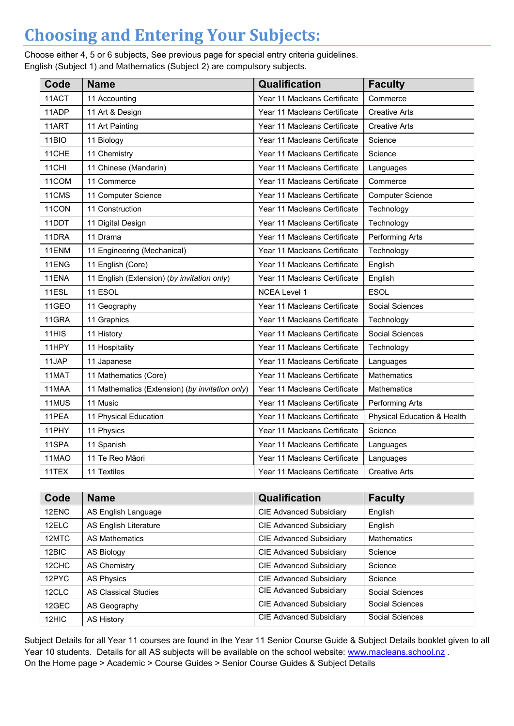# **Choosing and Entering Your Subjects:**

Choose either 4, 5 or 6 subjects, See previous page for special entry criteria guidelines. English (Subject 1) and Mathematics (Subject 2) are compulsory subjects.

| Code  | <b>Name</b>                                     | Qualification                | <b>Faculty</b>              |  |
|-------|-------------------------------------------------|------------------------------|-----------------------------|--|
| 11ACT | 11 Accounting                                   | Year 11 Macleans Certificate | Commerce                    |  |
| 11ADP | 11 Art & Design                                 | Year 11 Macleans Certificate | <b>Creative Arts</b>        |  |
| 11ART | 11 Art Painting                                 | Year 11 Macleans Certificate | <b>Creative Arts</b>        |  |
| 11BIO | 11 Biology                                      | Year 11 Macleans Certificate | Science                     |  |
| 11CHE | 11 Chemistry                                    | Year 11 Macleans Certificate | Science                     |  |
| 11CHI | 11 Chinese (Mandarin)                           | Year 11 Macleans Certificate | Languages                   |  |
| 11COM | 11 Commerce                                     | Year 11 Macleans Certificate | Commerce                    |  |
| 11CMS | 11 Computer Science                             | Year 11 Macleans Certificate | <b>Computer Science</b>     |  |
| 11CON | 11 Construction                                 | Year 11 Macleans Certificate | Technology                  |  |
| 11DDT | 11 Digital Design                               | Year 11 Macleans Certificate | Technology                  |  |
| 11DRA | 11 Drama                                        | Year 11 Macleans Certificate | Performing Arts             |  |
| 11ENM | 11 Engineering (Mechanical)                     | Year 11 Macleans Certificate | Technology                  |  |
| 11ENG | 11 English (Core)                               | Year 11 Macleans Certificate | English                     |  |
| 11ENA | 11 English (Extension) (by invitation only)     | Year 11 Macleans Certificate | English                     |  |
| 11ESL | 11 ESOL                                         | <b>NCEA Level 1</b>          | <b>ESOL</b>                 |  |
| 11GEO | 11 Geography                                    | Year 11 Macleans Certificate | Social Sciences             |  |
| 11GRA | 11 Graphics                                     | Year 11 Macleans Certificate | Technology                  |  |
| 11HIS | 11 History                                      | Year 11 Macleans Certificate | Social Sciences             |  |
| 11HPY | 11 Hospitality                                  | Year 11 Macleans Certificate | Technology                  |  |
| 11JAP | 11 Japanese                                     | Year 11 Macleans Certificate | Languages                   |  |
| 11MAT | 11 Mathematics (Core)                           | Year 11 Macleans Certificate | <b>Mathematics</b>          |  |
| 11MAA | 11 Mathematics (Extension) (by invitation only) | Year 11 Macleans Certificate | Mathematics                 |  |
| 11MUS | 11 Music                                        | Year 11 Macleans Certificate | Performing Arts             |  |
| 11PEA | 11 Physical Education                           | Year 11 Macleans Certificate | Physical Education & Health |  |
| 11PHY | 11 Physics                                      | Year 11 Macleans Certificate | Science                     |  |
| 11SPA | 11 Spanish                                      | Year 11 Macleans Certificate | Languages                   |  |
| 11MAO | 11 Te Reo Māori                                 | Year 11 Macleans Certificate | Languages                   |  |
| 11TEX | 11 Textiles                                     | Year 11 Macleans Certificate | <b>Creative Arts</b>        |  |

| Code  | <b>Name</b>                  | Qualification                  | <b>Faculty</b>     |
|-------|------------------------------|--------------------------------|--------------------|
| 12ENC | AS English Language          | <b>CIE Advanced Subsidiary</b> | English            |
| 12ELC | <b>AS English Literature</b> | <b>CIE Advanced Subsidiary</b> | English            |
| 12MTC | AS Mathematics               | <b>CIE Advanced Subsidiary</b> | <b>Mathematics</b> |
| 12BIC | AS Biology                   | <b>CIE Advanced Subsidiary</b> | Science            |
| 12CHC | AS Chemistry                 | <b>CIE Advanced Subsidiary</b> | Science            |
| 12PYC | <b>AS Physics</b>            | <b>CIE Advanced Subsidiary</b> | Science            |
| 12CLC | <b>AS Classical Studies</b>  | <b>CIE Advanced Subsidiary</b> | Social Sciences    |
| 12GEC | AS Geography                 | <b>CIE Advanced Subsidiary</b> | Social Sciences    |
| 12HIC | <b>AS History</b>            | <b>CIE Advanced Subsidiary</b> | Social Sciences    |

Subject Details for all Year 11 courses are found in the Year 11 Senior Course Guide & Subject Details booklet given to all Year 10 students. Details for all AS subjects will be available on the school website: [www.macleans.school.nz](http://www.macleans.school.nz/). On the Home page > Academic > Course Guides > Senior Course Guides & Subject Details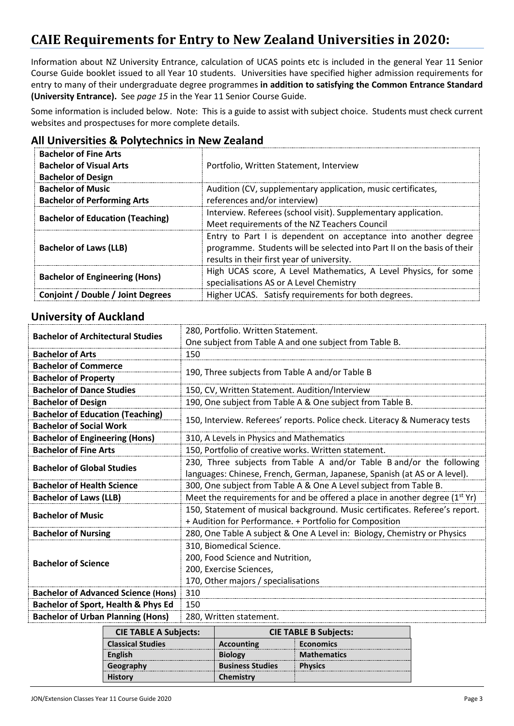# **CAIE Requirements for Entry to New Zealand Universities in 2020:**

Information about NZ University Entrance, calculation of UCAS points etc is included in the general Year 11 Senior Course Guide booklet issued to all Year 10 students. Universities have specified higher admission requirements for entry to many of their undergraduate degree programmes **in addition to satisfying the Common Entrance Standard (University Entrance).** See *page 15* in the Year 11 Senior Course Guide.

Some information is included below. Note: This is a guide to assist with subject choice. Students must check current websites and prospectuses for more complete details.

| <b>Bachelor of Fine Arts</b><br><b>Bachelor of Visual Arts</b> | Portfolio, Written Statement, Interview                                                                                                                                                 |
|----------------------------------------------------------------|-----------------------------------------------------------------------------------------------------------------------------------------------------------------------------------------|
| <b>Bachelor of Design</b>                                      |                                                                                                                                                                                         |
| <b>Bachelor of Music</b>                                       | Audition (CV, supplementary application, music certificates,                                                                                                                            |
| <b>Bachelor of Performing Arts</b>                             | references and/or interview)                                                                                                                                                            |
| <b>Bachelor of Education (Teaching)</b>                        | Interview. Referees (school visit). Supplementary application.                                                                                                                          |
|                                                                | Meet requirements of the NZ Teachers Council                                                                                                                                            |
| <b>Bachelor of Laws (LLB)</b>                                  | Entry to Part I is dependent on acceptance into another degree<br>programme. Students will be selected into Part II on the basis of their<br>results in their first year of university. |
| <b>Bachelor of Engineering (Hons)</b>                          | High UCAS score, A Level Mathematics, A Level Physics, for some<br>specialisations AS or A Level Chemistry                                                                              |
| Conjoint / Double / Joint Degrees                              | Higher UCAS. Satisfy requirements for both degrees.                                                                                                                                     |

#### **All Universities & Polytechnics in New Zealand**

#### **University of Auckland**

| <b>Bachelor of Architectural Studies</b>   | 280, Portfolio. Written Statement.                                               |  |
|--------------------------------------------|----------------------------------------------------------------------------------|--|
|                                            | One subject from Table A and one subject from Table B.                           |  |
| <b>Bachelor of Arts</b>                    | 150                                                                              |  |
| <b>Bachelor of Commerce</b>                |                                                                                  |  |
| <b>Bachelor of Property</b>                | 190, Three subjects from Table A and/or Table B                                  |  |
| <b>Bachelor of Dance Studies</b>           | 150, CV, Written Statement. Audition/Interview                                   |  |
| <b>Bachelor of Design</b>                  | 190, One subject from Table A & One subject from Table B.                        |  |
| <b>Bachelor of Education (Teaching)</b>    | 150, Interview. Referees' reports. Police check. Literacy & Numeracy tests       |  |
| <b>Bachelor of Social Work</b>             |                                                                                  |  |
| <b>Bachelor of Engineering (Hons)</b>      | 310, A Levels in Physics and Mathematics                                         |  |
| <b>Bachelor of Fine Arts</b>               | 150, Portfolio of creative works. Written statement.                             |  |
| <b>Bachelor of Global Studies</b>          | 230, Three subjects from Table A and/or Table B and/or the following             |  |
|                                            | languages: Chinese, French, German, Japanese, Spanish (at AS or A level).        |  |
| <b>Bachelor of Health Science</b>          | 300, One subject from Table A & One A Level subject from Table B.                |  |
| <b>Bachelor of Laws (LLB)</b>              | Meet the requirements for and be offered a place in another degree $(1^{st}$ Yr) |  |
| <b>Bachelor of Music</b>                   | 150, Statement of musical background. Music certificates. Referee's report.      |  |
|                                            | + Audition for Performance. + Portfolio for Composition                          |  |
| <b>Bachelor of Nursing</b>                 | 280, One Table A subject & One A Level in: Biology, Chemistry or Physics         |  |
|                                            | 310, Biomedical Science.                                                         |  |
| <b>Bachelor of Science</b>                 | 200, Food Science and Nutrition,                                                 |  |
|                                            | 200, Exercise Sciences,                                                          |  |
|                                            | 170, Other majors / specialisations                                              |  |
| <b>Bachelor of Advanced Science (Hons)</b> | 310                                                                              |  |
| Bachelor of Sport, Health & Phys Ed        | 150                                                                              |  |
| <b>Bachelor of Urban Planning (Hons)</b>   | 280, Written statement.                                                          |  |

| <b>CIE TABLE A Subjects:</b> | <b>CIE TABLE B Subjects:</b> |                    |  |
|------------------------------|------------------------------|--------------------|--|
| <b>Classical Studies</b>     | <b>Accounting</b>            | <b>Economics</b>   |  |
| English                      | <b>Biology</b>               | <b>Mathematics</b> |  |
| Geography                    | <b>Business Studies</b>      | <b>Physics</b>     |  |
| <b>History</b>               | Chemistry                    |                    |  |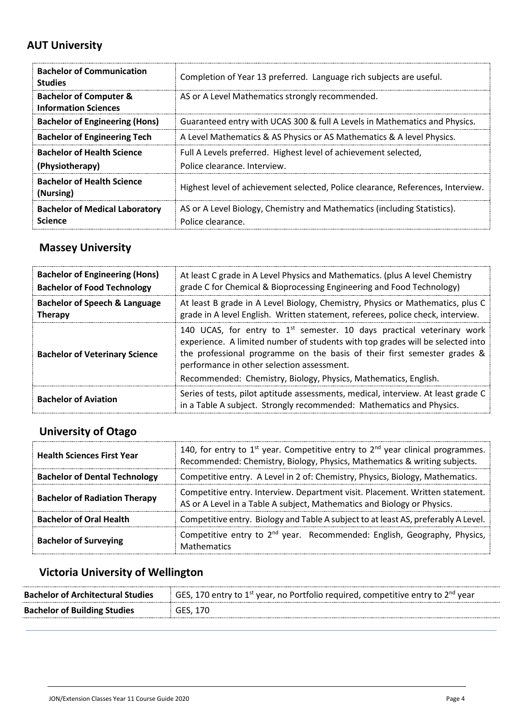## **AUT University**

| <b>Bachelor of Communication</b><br><b>Studies</b>               | Completion of Year 13 preferred. Language rich subjects are useful.                             |
|------------------------------------------------------------------|-------------------------------------------------------------------------------------------------|
| <b>Bachelor of Computer &amp;</b><br><b>Information Sciences</b> | AS or A Level Mathematics strongly recommended.                                                 |
| <b>Bachelor of Engineering (Hons)</b>                            | Guaranteed entry with UCAS 300 & full A Levels in Mathematics and Physics.                      |
| <b>Bachelor of Engineering Tech</b>                              | A Level Mathematics & AS Physics or AS Mathematics & A level Physics.                           |
| <b>Bachelor of Health Science</b><br>(Physiotherapy)             | Full A Levels preferred. Highest level of achievement selected,<br>Police clearance, Interview. |
| <b>Bachelor of Health Science</b><br>(Nursing)                   | Highest level of achievement selected, Police clearance, References, Interview.                 |
| <b>Bachelor of Medical Laboratory</b><br><b>Science</b>          | AS or A Level Biology, Chemistry and Mathematics (including Statistics).<br>Police clearance.   |

## **Massey University**

| <b>Bachelor of Engineering (Hons)</b> | At least C grade in A Level Physics and Mathematics. (plus A level Chemistry                                                                                                                                                                                                                                                                            |
|---------------------------------------|---------------------------------------------------------------------------------------------------------------------------------------------------------------------------------------------------------------------------------------------------------------------------------------------------------------------------------------------------------|
| <b>Bachelor of Food Technology</b>    | grade C for Chemical & Bioprocessing Engineering and Food Technology)                                                                                                                                                                                                                                                                                   |
| Bachelor of Speech & Language         | At least B grade in A Level Biology, Chemistry, Physics or Mathematics, plus C                                                                                                                                                                                                                                                                          |
| <b>Therapy</b>                        | grade in A level English. Written statement, referees, police check, interview.                                                                                                                                                                                                                                                                         |
| <b>Bachelor of Veterinary Science</b> | 140 UCAS, for entry to $1st$ semester. 10 days practical veterinary work<br>experience. A limited number of students with top grades will be selected into<br>the professional programme on the basis of their first semester grades &<br>performance in other selection assessment.<br>Recommended: Chemistry, Biology, Physics, Mathematics, English. |
| <b>Bachelor of Aviation</b>           | Series of tests, pilot aptitude assessments, medical, interview. At least grade C<br>in a Table A subject. Strongly recommended: Mathematics and Physics.                                                                                                                                                                                               |

## **University of Otago**

| <b>Health Sciences First Year</b>    | 140, for entry to $1^{st}$ year. Competitive entry to $2^{nd}$ year clinical programmes.<br>Recommended: Chemistry, Biology, Physics, Mathematics & writing subjects. |  |  |
|--------------------------------------|-----------------------------------------------------------------------------------------------------------------------------------------------------------------------|--|--|
| <b>Bachelor of Dental Technology</b> | Competitive entry. A Level in 2 of: Chemistry, Physics, Biology, Mathematics.                                                                                         |  |  |
| <b>Bachelor of Radiation Therapy</b> | Competitive entry. Interview. Department visit. Placement. Written statement.<br>AS or A Level in a Table A subject, Mathematics and Biology or Physics.              |  |  |
| <b>Bachelor of Oral Health</b>       | Competitive entry. Biology and Table A subject to at least AS, preferably A Level.                                                                                    |  |  |
| <b>Bachelor of Surveying</b>         | Competitive entry to $2^{nd}$ year. Recommended: English, Geography, Physics,<br><b>Mathematics</b>                                                                   |  |  |

## **Victoria University of Wellington**

| <b>Bachelor of Architectural Studies</b> | GES, 170 entry to 1 <sup>st</sup> year, no Portfolio required, competitive entry to 2 <sup>nd</sup> year |
|------------------------------------------|----------------------------------------------------------------------------------------------------------|
| <b>Bachelor of Building Studies</b>      | GES. 170                                                                                                 |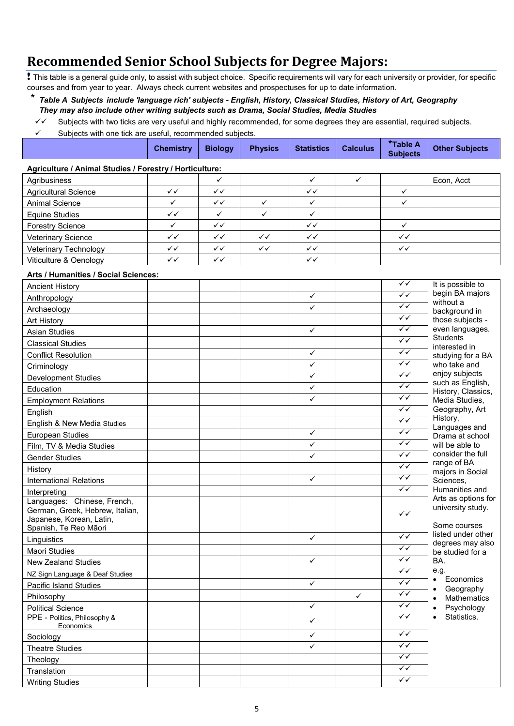# **Recommended Senior School Subjects for Degree Majors:**

! This table is a general guide only, to assist with subject choice. Specific requirements will vary for each university or provider, for specific courses and from year to year. Always check current websites and prospectuses for up to date information.

\* *Table A Subjects include 'language rich' subjects - English, History, Classical Studies, History of Art, Geography They may also include other writing subjects such as Drama, Social Studies, Media Studies*

- Subjects with two ticks are very useful and highly recommended, for some degrees they are essential, required subjects.
- $\checkmark$  Subjects with one tick are useful, recommended subjects.

|                                                                                                                     | <b>Chemistry</b> | <b>Biology</b> | <b>Physics</b> | <b>Statistics</b> | <b>Calculus</b> | *Table A<br><b>Subjects</b> | <b>Other Subjects</b>                                     |
|---------------------------------------------------------------------------------------------------------------------|------------------|----------------|----------------|-------------------|-----------------|-----------------------------|-----------------------------------------------------------|
| Agriculture / Animal Studies / Forestry / Horticulture:                                                             |                  |                |                |                   |                 |                             |                                                           |
| Agribusiness                                                                                                        |                  | $\checkmark$   |                | $\checkmark$      | ✓               |                             | Econ, Acct                                                |
| <b>Agricultural Science</b>                                                                                         | $\checkmark$     | ✓✓             |                | ✓✓                |                 | ✓                           |                                                           |
| <b>Animal Science</b>                                                                                               | $\checkmark$     | ✓✓             | $\checkmark$   | ✓                 |                 | $\checkmark$                |                                                           |
| <b>Equine Studies</b>                                                                                               | $\checkmark$     | $\checkmark$   | ✓              | $\checkmark$      |                 |                             |                                                           |
| <b>Forestry Science</b>                                                                                             | ✓                | $\checkmark$   |                | $\checkmark$      |                 | $\checkmark$                |                                                           |
| Veterinary Science                                                                                                  | $\checkmark$     | ✓✓             | $\checkmark$   | $\checkmark$      |                 | $\checkmark$                |                                                           |
| Veterinary Technology                                                                                               | $\checkmark$     | $\checkmark$   | $\checkmark$   | $\checkmark$      |                 | ✓✓                          |                                                           |
| Viticulture & Oenology                                                                                              | $\checkmark$     | ✓✓             |                | ✓✓                |                 |                             |                                                           |
| Arts / Humanities / Social Sciences:                                                                                |                  |                |                |                   |                 |                             |                                                           |
| <b>Ancient History</b>                                                                                              |                  |                |                |                   |                 | ✓✓                          | It is possible to                                         |
| Anthropology                                                                                                        |                  |                |                | $\checkmark$      |                 | $\sqrt{}$                   | begin BA majors                                           |
| Archaeology                                                                                                         |                  |                |                | ✓                 |                 | $\checkmark$                | without a<br>background in                                |
| Art History                                                                                                         |                  |                |                |                   |                 | $\checkmark$                | those subjects -                                          |
| <b>Asian Studies</b>                                                                                                |                  |                |                | $\checkmark$      |                 | $\checkmark$                | even languages.                                           |
| <b>Classical Studies</b>                                                                                            |                  |                |                |                   |                 | $\checkmark$                | <b>Students</b><br>interested in                          |
| <b>Conflict Resolution</b>                                                                                          |                  |                |                | ✓                 |                 | $\checkmark$                | studying for a BA                                         |
| Criminology                                                                                                         |                  |                |                | $\checkmark$      |                 | $\checkmark$                | who take and                                              |
| <b>Development Studies</b>                                                                                          |                  |                |                | ✓                 |                 | $\sqrt{\checkmark}$         | enjoy subjects                                            |
| Education                                                                                                           |                  |                |                | ✓                 |                 | $\checkmark$                | such as English,<br>History, Classics,                    |
| <b>Employment Relations</b>                                                                                         |                  |                |                | ✓                 |                 | $\checkmark$                | Media Studies,                                            |
| English                                                                                                             |                  |                |                |                   |                 | $\checkmark$                | Geography, Art                                            |
| English & New Media Studies                                                                                         |                  |                |                |                   |                 | $\checkmark$                | History,                                                  |
| <b>European Studies</b>                                                                                             |                  |                |                | ✓                 |                 | $\checkmark$                | Languages and<br>Drama at school                          |
| Film, TV & Media Studies                                                                                            |                  |                |                | ✓                 |                 | $\checkmark$                | will be able to                                           |
| <b>Gender Studies</b>                                                                                               |                  |                |                | ✓                 |                 | $\sqrt{}$                   | consider the full                                         |
| History                                                                                                             |                  |                |                |                   |                 | $\checkmark$                | range of BA<br>majors in Social                           |
| <b>International Relations</b>                                                                                      |                  |                |                | ✓                 |                 | $\sqrt{}$                   | Sciences,                                                 |
| Interpreting                                                                                                        |                  |                |                |                   |                 | $\checkmark$                | Humanities and                                            |
| Languages: Chinese, French,<br>German, Greek, Hebrew, Italian,<br>Japanese, Korean, Latin,<br>Spanish, Te Reo Mãori |                  |                |                |                   |                 | $\checkmark$                | Arts as options for<br>university study.<br>Some courses  |
| Linguistics                                                                                                         |                  |                |                | $\checkmark$      |                 | $\checkmark$                | listed under other                                        |
| Maori Studies                                                                                                       |                  |                |                |                   |                 | $\checkmark$                | degrees may also<br>be studied for a<br>BA.               |
| <b>New Zealand Studies</b>                                                                                          |                  |                |                | $\checkmark$      |                 | $\sqrt{}$                   |                                                           |
| NZ Sign Language & Deaf Studies                                                                                     |                  |                |                |                   |                 | $\sqrt{}$                   | e.g.                                                      |
| Pacific Island Studies                                                                                              |                  |                |                | $\checkmark$      |                 | $\sqrt{}$                   | Economics<br>$\bullet$                                    |
| Philosophy                                                                                                          |                  |                |                |                   | $\checkmark$    | $\sqrt{}$                   | Geography<br>$\bullet$<br><b>Mathematics</b><br>$\bullet$ |
| <b>Political Science</b>                                                                                            |                  |                |                | $\checkmark$      |                 | $\sqrt{}$                   | Psychology<br>$\bullet$                                   |
| PPE - Politics, Philosophy &<br>Economics                                                                           |                  |                |                | $\checkmark$      |                 | $\checkmark$                | Statistics.<br>$\bullet$                                  |
| Sociology                                                                                                           |                  |                |                | ✓                 |                 | $\sqrt{}$                   |                                                           |
| <b>Theatre Studies</b>                                                                                              |                  |                |                | ✓                 |                 | $\checkmark$                |                                                           |
| Theology                                                                                                            |                  |                |                |                   |                 | $\sqrt{}$                   |                                                           |
| Translation                                                                                                         |                  |                |                |                   |                 | $\sqrt{}$                   |                                                           |
| <b>Writing Studies</b>                                                                                              |                  |                |                |                   |                 | $\sqrt{}$                   |                                                           |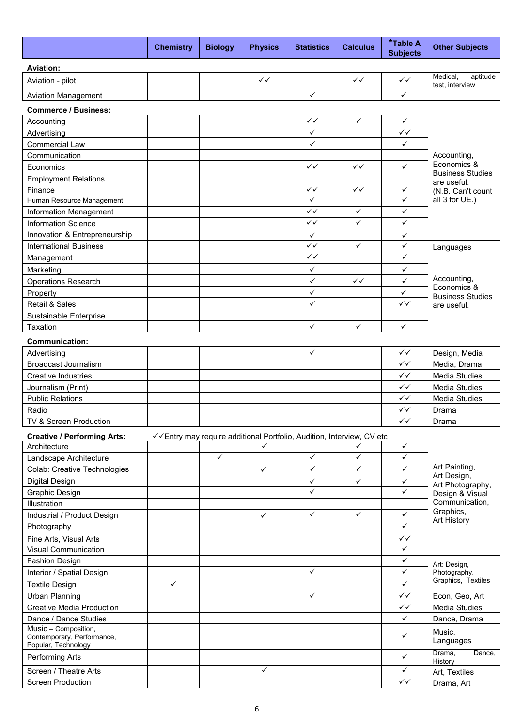|                                                    | <b>Chemistry</b> | <b>Biology</b> | <b>Physics</b> | <b>Statistics</b>                                                     | <b>Calculus</b> | *Table A<br><b>Subjects</b> | <b>Other Subjects</b>                  |  |  |
|----------------------------------------------------|------------------|----------------|----------------|-----------------------------------------------------------------------|-----------------|-----------------------------|----------------------------------------|--|--|
| <b>Aviation:</b>                                   |                  |                |                |                                                                       |                 |                             |                                        |  |  |
| Aviation - pilot                                   |                  |                | $\checkmark$   |                                                                       | $\checkmark$    | $\checkmark$                | Medical,<br>aptitude                   |  |  |
| <b>Aviation Management</b>                         |                  |                |                | $\checkmark$                                                          |                 | $\checkmark$                | test, interview                        |  |  |
|                                                    |                  |                |                |                                                                       |                 |                             |                                        |  |  |
| <b>Commerce / Business:</b>                        |                  |                |                |                                                                       |                 |                             |                                        |  |  |
| Accounting                                         |                  |                |                | $\checkmark$                                                          | $\checkmark$    | $\checkmark$                |                                        |  |  |
| Advertising                                        |                  |                |                | ✓<br>$\checkmark$                                                     |                 | $\checkmark$<br>✓           |                                        |  |  |
| <b>Commercial Law</b><br>Communication             |                  |                |                |                                                                       |                 |                             |                                        |  |  |
| Economics                                          |                  |                |                | $\checkmark$                                                          | $\checkmark$    | $\checkmark$                | Accounting,<br>Economics &             |  |  |
| <b>Employment Relations</b>                        |                  |                |                |                                                                       |                 |                             | <b>Business Studies</b>                |  |  |
| Finance                                            |                  |                |                | ✓✓                                                                    | $\checkmark$    | ✓                           | are useful.<br>(N.B. Can't count       |  |  |
| Human Resource Management                          |                  |                |                | $\checkmark$                                                          |                 | $\checkmark$                | all 3 for UE.)                         |  |  |
| <b>Information Management</b>                      |                  |                |                | $\checkmark$                                                          | $\checkmark$    | $\checkmark$                |                                        |  |  |
| <b>Information Science</b>                         |                  |                |                | $\checkmark$                                                          | ✓               | $\checkmark$                |                                        |  |  |
| Innovation & Entrepreneurship                      |                  |                |                | $\checkmark$                                                          |                 | $\checkmark$                |                                        |  |  |
| <b>International Business</b>                      |                  |                |                | $\sqrt{}$                                                             | $\checkmark$    | $\checkmark$                | Languages                              |  |  |
| Management                                         |                  |                |                | $\checkmark$                                                          |                 | $\checkmark$                |                                        |  |  |
| Marketing                                          |                  |                |                | $\checkmark$                                                          |                 | ✓                           |                                        |  |  |
| <b>Operations Research</b>                         |                  |                |                | $\checkmark$                                                          | $\checkmark$    | $\checkmark$                | Accounting,                            |  |  |
| Property                                           |                  |                |                | ✓                                                                     |                 | ✓                           | Economics &                            |  |  |
| Retail & Sales                                     |                  |                |                | ✓                                                                     |                 | $\checkmark$                | <b>Business Studies</b><br>are useful. |  |  |
| Sustainable Enterprise                             |                  |                |                |                                                                       |                 |                             |                                        |  |  |
| Taxation                                           |                  |                |                | $\checkmark$                                                          | ✓               | ✓                           |                                        |  |  |
|                                                    |                  |                |                |                                                                       |                 |                             |                                        |  |  |
| <b>Communication:</b><br>Advertising               |                  |                |                | $\checkmark$                                                          |                 | $\checkmark$                | Design, Media                          |  |  |
| <b>Broadcast Journalism</b>                        |                  |                |                |                                                                       |                 | $\checkmark$                | Media, Drama                           |  |  |
| <b>Creative Industries</b>                         |                  |                |                |                                                                       |                 | ✓✓                          | <b>Media Studies</b>                   |  |  |
| Journalism (Print)                                 |                  |                |                |                                                                       |                 | $\checkmark$                | Media Studies                          |  |  |
| <b>Public Relations</b>                            |                  |                |                |                                                                       |                 | $\checkmark$                | <b>Media Studies</b>                   |  |  |
| Radio                                              |                  |                |                |                                                                       |                 | ✓✓                          | Drama                                  |  |  |
| TV & Screen Production                             |                  |                |                |                                                                       |                 | ✓✓                          | Drama                                  |  |  |
|                                                    |                  |                |                | √ Entry may require additional Portfolio, Audition, Interview, CV etc |                 |                             |                                        |  |  |
| <b>Creative / Performing Arts:</b><br>Architecture |                  |                | ✓              |                                                                       | ✓               | $\checkmark$                |                                        |  |  |
| Landscape Architecture                             |                  | $\checkmark$   |                | $\checkmark$                                                          | $\checkmark$    | ✓                           |                                        |  |  |
| Colab: Creative Technologies                       |                  |                | ✓              | $\checkmark$                                                          | ✓               | $\checkmark$                | Art Painting,                          |  |  |
| <b>Digital Design</b>                              |                  |                |                | $\checkmark$                                                          | $\checkmark$    | $\checkmark$                | Art Design,                            |  |  |
| Graphic Design                                     |                  |                |                | ✓                                                                     |                 | ✓                           | Art Photography,<br>Design & Visual    |  |  |
| Illustration                                       |                  |                |                |                                                                       |                 |                             | Communication,                         |  |  |
| Industrial / Product Design                        |                  |                | $\checkmark$   | $\checkmark$                                                          | $\checkmark$    | $\checkmark$                | Graphics,                              |  |  |
| Photography                                        |                  |                |                |                                                                       |                 | ✓                           | Art History                            |  |  |
| Fine Arts, Visual Arts                             |                  |                |                |                                                                       |                 | ✓✓                          |                                        |  |  |
| <b>Visual Communication</b>                        |                  |                |                |                                                                       |                 | ✓                           |                                        |  |  |
| Fashion Design                                     |                  |                |                |                                                                       |                 | ✓                           |                                        |  |  |
| Interior / Spatial Design                          |                  |                |                | $\checkmark$                                                          |                 | ✓                           | Art: Design,<br>Photography,           |  |  |
| <b>Textile Design</b>                              | $\checkmark$     |                |                |                                                                       |                 | $\checkmark$                | Graphics, Textiles                     |  |  |
| <b>Urban Planning</b>                              |                  |                |                | $\checkmark$                                                          |                 | $\checkmark$                | Econ, Geo, Art                         |  |  |
| <b>Creative Media Production</b>                   |                  |                |                |                                                                       |                 | ✓✓                          | Media Studies                          |  |  |
| Dance / Dance Studies                              |                  |                |                |                                                                       |                 | ✓                           | Dance, Drama                           |  |  |
| Music - Composition,<br>Contemporary, Performance, |                  |                |                |                                                                       |                 | ✓                           | Music,<br>Languages                    |  |  |
| Popular, Technology<br>Performing Arts             |                  |                |                |                                                                       |                 | $\checkmark$                | Drama,<br>Dance,<br>History            |  |  |
| Screen / Theatre Arts                              |                  |                | $\checkmark$   |                                                                       |                 | $\checkmark$                | Art, Textiles                          |  |  |
| <b>Screen Production</b>                           |                  |                |                |                                                                       |                 | $\checkmark$                | Drama, Art                             |  |  |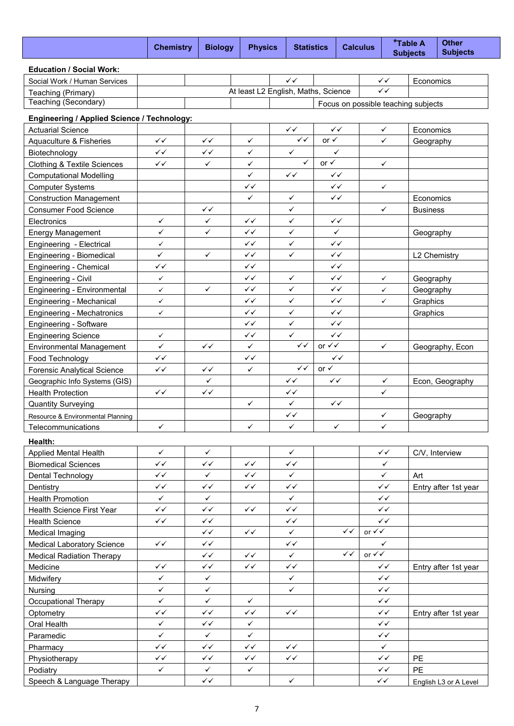|                                             | <b>Chemistry</b>   | <b>Biology</b> | <b>Physics</b> |                                     | <b>Statistics</b>         | <b>Calculus</b> |                           |              | *Table A<br><b>Subjects</b>         | <b>Other</b><br><b>Subjects</b> |
|---------------------------------------------|--------------------|----------------|----------------|-------------------------------------|---------------------------|-----------------|---------------------------|--------------|-------------------------------------|---------------------------------|
| <b>Education / Social Work:</b>             |                    |                |                |                                     |                           |                 |                           |              |                                     |                                 |
| Social Work / Human Services                |                    |                |                | $\checkmark$                        |                           |                 |                           | $\checkmark$ | Economics                           |                                 |
| Teaching (Primary)                          |                    |                |                | At least L2 English, Maths, Science |                           |                 |                           | $\checkmark$ |                                     |                                 |
| Teaching (Secondary)                        |                    |                |                |                                     |                           |                 |                           |              | Focus on possible teaching subjects |                                 |
| Engineering / Applied Science / Technology: |                    |                |                |                                     |                           |                 |                           |              |                                     |                                 |
| <b>Actuarial Science</b>                    |                    |                |                | ✓✓                                  |                           | ✓✓              |                           | $\checkmark$ | Economics                           |                                 |
| Aquaculture & Fisheries                     | ✓✓                 | $\checkmark$   | $\checkmark$   | $\checkmark$                        | or $\checkmark$           |                 |                           | $\checkmark$ | Geography                           |                                 |
| Biotechnology                               | $\checkmark$       | $\checkmark$   | $\checkmark$   | $\checkmark$                        |                           | $\checkmark$    |                           |              |                                     |                                 |
| <b>Clothing &amp; Textile Sciences</b>      | $\checkmark$       | $\checkmark$   | ✓              | ✓                                   | or $\checkmark$           |                 |                           | $\checkmark$ |                                     |                                 |
| <b>Computational Modelling</b>              |                    |                | ✓              | $\checkmark$                        |                           | $\checkmark$    |                           |              |                                     |                                 |
| <b>Computer Systems</b>                     |                    |                | $\checkmark$   |                                     |                           | $\checkmark$    |                           | $\checkmark$ |                                     |                                 |
| <b>Construction Management</b>              |                    |                | ✓              | ✓                                   |                           | $\checkmark$    |                           |              | Economics                           |                                 |
| <b>Consumer Food Science</b>                |                    | $\checkmark$   |                | ✓                                   |                           |                 |                           | $\checkmark$ | <b>Business</b>                     |                                 |
| Electronics                                 | $\checkmark$       | $\checkmark$   | $\checkmark$   | ✓                                   |                           | $\checkmark$    |                           |              |                                     |                                 |
| <b>Energy Management</b>                    | $\checkmark$       | $\checkmark$   | $\checkmark$   | $\checkmark$                        |                           | $\checkmark$    |                           |              | Geography                           |                                 |
| Engineering - Electrical                    | ✓                  |                | $\checkmark$   | ✓                                   |                           | $\checkmark$    |                           |              |                                     |                                 |
| Engineering - Biomedical                    | $\checkmark$       | $\checkmark$   | $\checkmark$   | ✓                                   |                           | $\checkmark$    |                           |              | L2 Chemistry                        |                                 |
| Engineering - Chemical                      | ✓✓                 |                | ✓✓             |                                     |                           | $\checkmark$    |                           |              |                                     |                                 |
| Engineering - Civil                         | $\checkmark$       |                | ✓✓             | $\checkmark$                        |                           | $\checkmark$    |                           | $\checkmark$ | Geography                           |                                 |
| Engineering - Environmental                 | ✓                  | $\checkmark$   | $\checkmark$   | $\checkmark$                        |                           | ✓✓              |                           | ✓            | Geography                           |                                 |
| Engineering - Mechanical                    | ✓                  |                | $\checkmark$   | $\checkmark$                        |                           | $\checkmark$    |                           | ✓            | Graphics                            |                                 |
| Engineering - Mechatronics                  | ✓                  |                | ✓✓             | $\checkmark$                        |                           | $\checkmark$    |                           |              | Graphics                            |                                 |
| Engineering - Software                      |                    |                | $\checkmark$   | $\checkmark$                        |                           | $\checkmark$    |                           |              |                                     |                                 |
| <b>Engineering Science</b>                  | $\checkmark$       |                | $\checkmark$   | $\checkmark$                        |                           | ✓✓              |                           |              |                                     |                                 |
| <b>Environmental Management</b>             | ✓                  | $\checkmark$   | $\checkmark$   | $\checkmark$                        | or $\checkmark\checkmark$ |                 |                           | $\checkmark$ |                                     | Geography, Econ                 |
| Food Technology                             | ✓✓                 |                | $\checkmark$   |                                     |                           | ✓✓              |                           |              |                                     |                                 |
| <b>Forensic Analytical Science</b>          | $\checkmark$       | $\checkmark$   | ✓              | $\checkmark$                        | or $\checkmark$           |                 |                           |              |                                     |                                 |
| Geographic Info Systems (GIS)               |                    | ✓              |                | ✓✓                                  |                           | $\checkmark$    |                           | ✓            |                                     | Econ, Geography                 |
| <b>Health Protection</b>                    | $\checkmark$       | $\checkmark$   |                | ✓✓                                  |                           |                 |                           | $\checkmark$ |                                     |                                 |
| <b>Quantity Surveying</b>                   |                    |                | $\checkmark$   | $\checkmark$                        |                           | $\checkmark$    |                           |              |                                     |                                 |
| Resource & Environmental Planning           |                    |                |                | ✓✓                                  |                           |                 |                           | $\checkmark$ | Geography                           |                                 |
| Telecommunications                          | ✓                  |                | ✓              | ✓                                   |                           | $\checkmark$    |                           | $\checkmark$ |                                     |                                 |
| Health:                                     |                    |                |                |                                     |                           |                 |                           |              |                                     |                                 |
| <b>Applied Mental Health</b>                | $\checkmark$       | $\checkmark$   |                | $\checkmark$                        |                           |                 |                           | $\checkmark$ |                                     | C/V, Interview                  |
| <b>Biomedical Sciences</b>                  | $\checkmark$       | $\checkmark$   | $\checkmark$   | $\checkmark$                        |                           |                 |                           | $\checkmark$ |                                     |                                 |
| Dental Technology                           | ✓✓                 | $\checkmark$   | $\checkmark$   | $\checkmark$                        |                           |                 |                           | $\checkmark$ | Art                                 |                                 |
| Dentistry                                   | $\checkmark$       | $\checkmark$   | $\checkmark$   | $\checkmark$                        |                           |                 |                           | $\checkmark$ |                                     | Entry after 1st year            |
| <b>Health Promotion</b>                     | $\checkmark$       | $\checkmark$   |                | $\checkmark$                        |                           |                 |                           | $\checkmark$ |                                     |                                 |
| Health Science First Year                   | $\checkmark$       | $\checkmark$   | $\checkmark$   | $\checkmark$                        |                           |                 |                           | $\checkmark$ |                                     |                                 |
| Health Science                              | ✓✓                 | $\checkmark$   |                | ✓✓                                  |                           |                 |                           | $\checkmark$ |                                     |                                 |
| Medical Imaging                             |                    | $\checkmark$   | $\checkmark$   | $\checkmark$                        |                           | $\checkmark$    | or $\checkmark\checkmark$ |              |                                     |                                 |
| Medical Laboratory Science                  | $\checkmark$       | $\checkmark$   |                | ✓✓                                  |                           |                 |                           | $\checkmark$ |                                     |                                 |
| <b>Medical Radiation Therapy</b>            |                    | $\checkmark$   | $\checkmark$   | $\checkmark$                        |                           | $\checkmark$    | or $\checkmark\checkmark$ |              |                                     |                                 |
| Medicine                                    | $\checkmark$       | $\checkmark$   | $\checkmark$   | $\checkmark$                        |                           |                 |                           | $\checkmark$ |                                     | Entry after 1st year            |
| Midwifery                                   | $\checkmark$       | $\checkmark$   |                | $\checkmark$                        |                           |                 |                           | $\checkmark$ |                                     |                                 |
| Nursing                                     | $\checkmark$       | $\checkmark$   |                | $\checkmark$                        |                           |                 |                           | $\checkmark$ |                                     |                                 |
| <b>Occupational Therapy</b>                 | ✓                  | $\checkmark$   | $\checkmark$   |                                     |                           |                 |                           | ✓✓           |                                     |                                 |
|                                             | ✓✓                 | $\checkmark$   | $\checkmark$   | $\checkmark$                        |                           |                 |                           | $\checkmark$ |                                     |                                 |
| Optometry                                   | $\checkmark$       | $\checkmark$   | ✓              |                                     |                           |                 |                           | $\checkmark$ |                                     | Entry after 1st year            |
| Oral Health                                 | $\checkmark$       | $\checkmark$   | $\checkmark$   |                                     |                           |                 |                           | $\checkmark$ |                                     |                                 |
| Paramedic                                   |                    |                |                |                                     |                           |                 |                           |              |                                     |                                 |
| Pharmacy                                    | $\checkmark$       | $\checkmark$   | $\checkmark$   | $\checkmark$                        |                           |                 |                           | $\checkmark$ |                                     |                                 |
| Physiotherapy                               | ✓✓<br>$\checkmark$ | $\checkmark$   | $\checkmark$   | ✓✓                                  |                           |                 |                           | $\checkmark$ | PE                                  |                                 |
| Podiatry                                    |                    | $\checkmark$   | $\checkmark$   |                                     |                           |                 |                           | $\checkmark$ | PE                                  |                                 |
| Speech & Language Therapy                   |                    | $\checkmark$   |                | $\checkmark$                        |                           |                 |                           | ✓✓           |                                     | English L3 or A Level           |